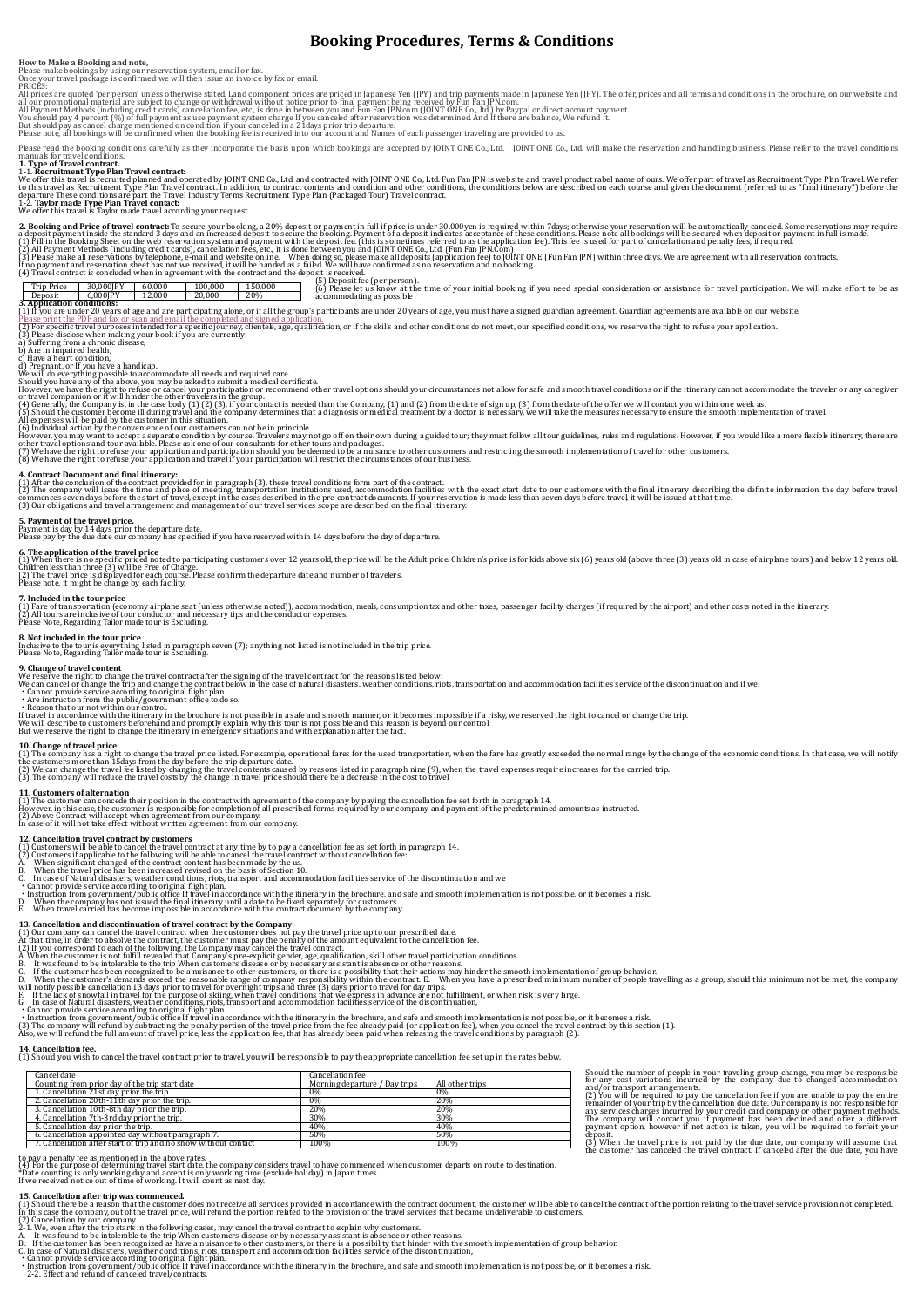# **Booking Procedures, Terms & Conditions**

**How to Make a Booking and note,**<br>Please make bookings by using our reservation system, email or fax.<br>Once your travel package is confirmed we will then issue an invoice by fax or email.<br>PRICES:

All prices are quoted 'per person' unless otherwise stated. Land component prices are priced in Japanese Yen (JPY) and trip payment Deling hapanese Yen (JPY). The offer, prices and all terms and conditions in the brochure,

Please read the booking conditions carefully as they incorporate the basis upon which bookings are accepted by JOINT ONE Co., Ltd. JOINT ONE Co., Ltd. will make the reservation and handling business. Please refer to the tr

# manuals for travel conditions. **1. Type of Travel contract.**

1-1. **Recruitment Type Plan Travel contract**<br>We offer this travel is recruited planned and operated by JOINT ONE Co., Ltd. and contracted with JOINT ONE Co., Ltd. Fun Fan JPN is website and travel product rabel name of our

2. **Booking and Price of travel contract** To secure your booking, a 20% deposit or payment in full if price is under 30,000yen is required within 7days; otherwise your reservations may require<br>a deposit payment inside the

# $\frac{100,000}{20,000}$  150,000

(5) Deposit fee (per person). (6) Please let us know at the time of your initial booking if you need special consideration or assistance for travel participation. We will make effort to be as accommodating as possible **12,000 20,000 20%**<br> **3. Application conditions:** 

(1) from an euner 20 years of age and are participating abon, or if all the group's participation.<br>These participate in the formulation and the completed and signed anglication.<br>The specific recept interest in the section

**4. Contract Document and final itinerary:**<br>(1) After the conclusion of the contract provided for in paragraph (3), these travel conditions form part of the contract.<br>(2) The company will issue the time and place of meetin

**5. Payment of the travel price.**<br>Payment is day by 14 days prior the departure date.<br>Please pay by the due date our company has specified if you have reserved within 14 days before the day of departure.

6. **The application of the travel price**<br>(1) When there is no specific priced noted to participating customers over 12 years old, the price will be the Adult price. Children's price is for kids above six (6) years old (abo

**7. Included in the tour price**

(1) Fare of transportation (economy airplane seat (unless otherwise noted)), accommodation, meals, consumption tax and other taxes, passenger facility charges (if required by the airport) and other costs noted in the itine

### **8. Not included in the tour price**

Inclusive to the tour is everything listed in paragraph seven (7); anything not listed is not included in the trip price. Please Note, Regarding Tailor made tour is Excluding.

# **9. Change of travel content**

We reserve the right to change the travel contract after the signing of the travel contract for the reasons listed below:<br>We can cancel or change the trip and change the contract below in the case of natural disasters, wea

**10. Change of travel price**<br>(1) The company has a right to change the travel price listed For example, operational fares for the used transportation, when the fare has greatly exceeded the normal range by the change of th

**11. Customers of alternation**<br>(1) The customer can concede their position in the contract with agreement of the company by paying the cancellation fee set forth in paragraph 14.<br>However, in this case, the customer is resp

(2) Above Contract will accept when agreement from our company. In case of it will not take effect without written agreement from our company.

12. Cance**llation travel contract by customers**<br>(2) Customers will be able to cancel the travel contract at any time by to pay a cancellation fee as set forth in paragraph 14.<br>(2) Customers if applicable to the following w

- 
- 
- 
- Cannot provide service according to original flight plan.<br>• Instruction from government/public office If travel in accordance with the itinerary in the brochure, and safe and smooth implementation is not possible, or it
- 
- 

- 
- 
- 
- 
- 13. Cancellation and discontinuation of travel contract by the Company<br>(1) Our company can cancel the travel contract when the customer due such reavel price up to our prescribed date.<br>(2) If you correspond to each of the
- 
- 
- 
- 

### **14. Cancellation fee.**

**14. Cancellation fee.**<br>(1) Should you wish to cancel the travel contract prior to travel, you will be responsible to pay the appropriate cancellation fee set up in the rates below.

| Cancellation fee              |                                 |
|-------------------------------|---------------------------------|
| Morning departure / Day trips | All other trips                 |
| 0%                            | 0%                              |
|                               | 20%                             |
|                               | 20%                             |
| 30%                           | 30%                             |
|                               | 40%                             |
|                               | 50%                             |
|                               | 100%                            |
|                               | 0%<br>20%<br>40%<br>50%<br>100% |

Should the number of people in your traveling group change, you may be responsible for any cost variations incurred by the company due to changed accommodation and/or transport arrangements. (2) You will be required to pay the cancellation fee if you are unable to pay the entire remainder of your trip by the cancellation due date. Our company is not responsible for<br>any services charges incurred by your credit card company or other payment methods.<br>The company will contact you if payment has been d

deposit. (3) When the travel price is not paid by the due date, our company will assume that the customer has canceled the travel contract. If canceled after the due date, you have

to pay a penalty fee as mentioned in the above rates.<br>(4) For the purpose of determining travel start date, the company considers travel to have commenced when customer departs on route to destination.<br>\*Date counting is on

15. Cance**llation after trip was commenced.**<br>[1] Should there be a reason that the customer does not receive all services provided in accordance with the contract document, the customer will be able to cancel the contract

- 
- 
- 
- 
- B. If the customer has been recognized as have a nuisance to other customers, or there is a possibility that hinder with the smooth implementation of group behavior.<br>C. In case of Natural disasters, weather conditions, rio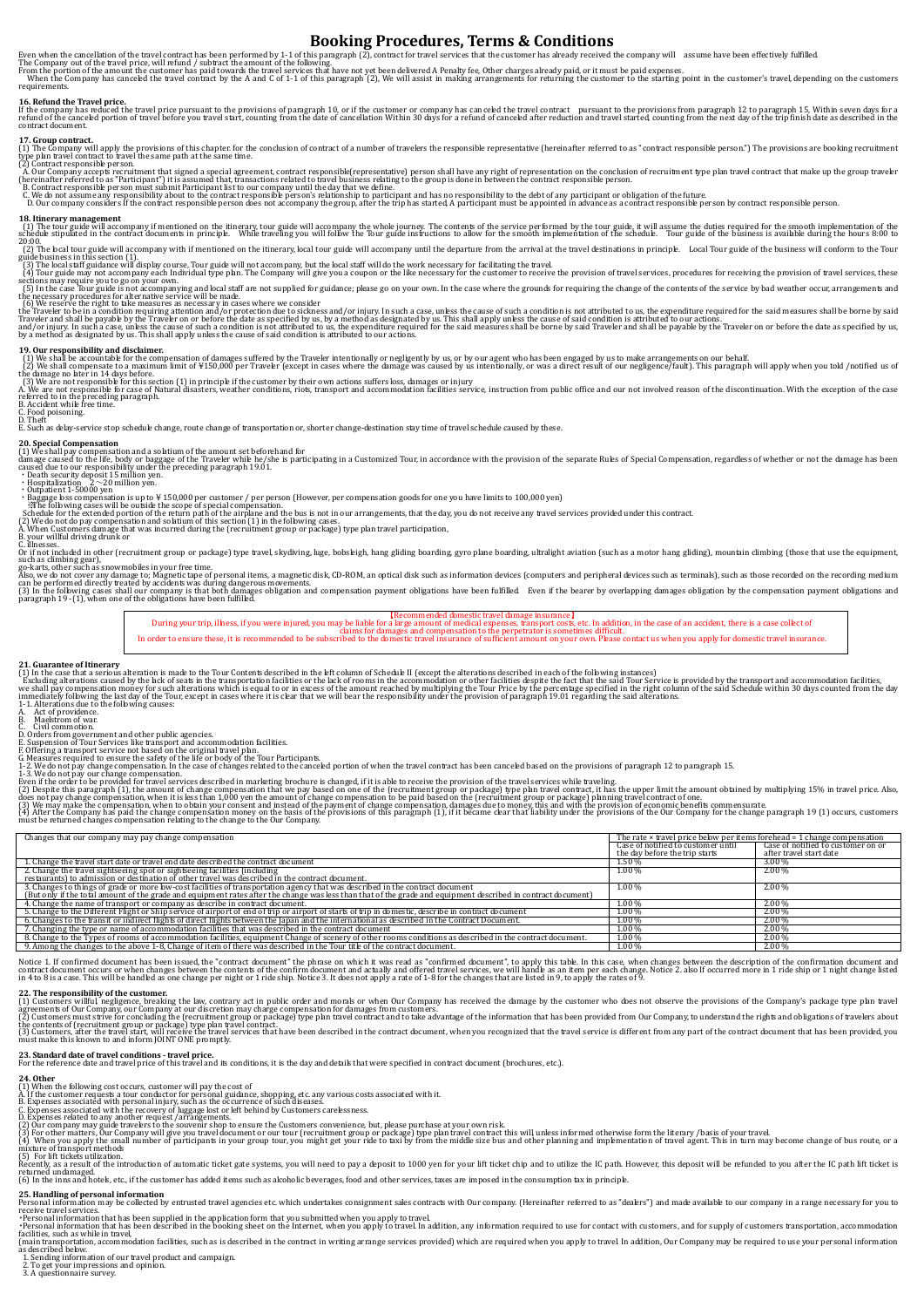# **Booking Procedures, Terms & Conditions**

Even when the cancellation of the travel contract has been performed by 1-1 of this paragraph (2), contract for travel services that the customer has already received the company will assume have been effectively fulfilled

**16. Refund the Travel price.**<br>If **the company has reduced the travel price pursuant to the provisions of paragraph 10, or if the customer or company has canceled the travel contract pursuant to the provisions from paragra** 

**17. Group contract.**<br>(1) The Company will apply the provisions of this chapter. for the conclusion of contract of a number of travelers the responsible representative (hereinafter referred to as "contract responsible pers

A. Our Company accepts recruitment that signed a special agreement, contract responsible(representative) person shall have any right of representation on the conclusion of recruitment type plan travel contract that make up

### **18. Itinerary management**

(1) The tour guide will accompany if mentioned on the itinerary, tour guide will accompany the whole journey. The contents of the service performed by the tour guide, it will sume the duties required for the sumed of the s

2000.<br>The local tour guide will accompany with if mentioned on the itinerary, local tour guide will accompany until the departure from the arrival at the travel destinations in principle. Local Tour guide of the business w

19. Our responsibility and disclaimer.<br>[1) We shall be accountable for the compensation of damages suffered by the Traveler intentionally or negligently by us, or by our agent who has been engaged by us to make arrangement

referred to in the preceding paragraph. B. Accident while free time.

C. Food poisoning.<br>D. Theft<br>E. Such as delay-service stop schedule change, route change of transportation or, shorter change-destination stay time of travel schedule caused by these.

20. Special Compensation and a solatium of the amount set beforehand for<br>(1) We shall pay compensation and a solatium of the amount set beforehand for<br>caused due to our responsibility under the preceding paragraph 19.01.<br>c

• Bagage bes compensation is up to ¥ 150,000 per customer / per person (However, per compensation goods for one you have limits to 100,000 yen)<br>- Schedule for the extended portion of the return path of the airplane and the

 $A$ , We set the pay compensation and solution of this section  $\{I\}$  in the following cases.<br>When Customers damage that was incurred during the (recruitment group or package) type plan travel participation,<br>your willful

## B. your willful driving drunk or

C. illnesses.<br>Or if not included in other (recruitment group or package) type travel, skydiving, luge, bobsleigh, hang gliding boarding, gyro plane boarding, ultralight aviation (such as a motor hang gliding), mountain cl

such as climbing gear),<br>ago-karts, other such as snowmobiles in your free time.<br>Also, we do not cover any damage to; Magnetic tape of personal items, a magnetic disk, CD-ROM, an optical disk such as information devices (co

During your trip, illness, if you were injured, you may be liable for a large amount of medical expenses, transport costs, etc. In addition, in the case of an accident, there is a case collect of<br>claims for damages and com

21. Guarantee of Hinerary<br>[1] In the case that a serious alteration is made to the Tour Contents described in the left column of Schedule II (except the alterations described in each of the following instances)<br>Excluding a

A. Act of providence.<br>C. Wil commotion.<br>D. Orders from government and other public agencies.<br>D. Orders from government and other public agencies.<br>G. Measures required to ensure the safety of the life or body of the Tour Pa

(2) Despite this paragraph (1), the amount of change compensation that we pay based on one of the (recruitment group or package) type plan travel contract, it has the upper limit the amount obtained by multiplying 15% in t

Changes that our company may pay change compensation The rate × travel price below per items forehead = 1 change compensation

|                                                                                                                                                                                | Case of notified to customer until | Case of notified to customer on or |
|--------------------------------------------------------------------------------------------------------------------------------------------------------------------------------|------------------------------------|------------------------------------|
|                                                                                                                                                                                | the day before the trip starts     | after travel start date            |
| 1. Change the travel start date or travel end date described the contract document                                                                                             | 1.50%                              | 3.00 %                             |
| 2. Change the travel sightseeing spot or sightseeing facilities (including<br>restaurants) to admission or destination of other travel was described in the contract document. | $1.00\%$                           | 2.00%                              |
|                                                                                                                                                                                |                                    |                                    |
| 3. Changes to things of grade or more low-cost facilities of transportation agency that was described in the contract document                                                 | $1.00\%$                           | 2.00%                              |
| (But only if the total amount of the grade and equipment rates after the change was less than that of the grade and equipment described in contract document)                  |                                    |                                    |
| 4. Change the name of transport or company as describe in contract document.                                                                                                   | 1.00%                              | 2.00%                              |
| 5. Change to the Different Flight or Ship service of airport of end of trip or airport of starts of trip in domestic, describe in contract document                            | 1.00%                              | 2.00%                              |
| 6. Changes to the transit or indirect flights of direct flights between the Japan and the international as described in the Contract Document.                                 | $1.00\%$                           | 2.00%                              |
| 7. Changing the type or name of accommodation facilities that was described in the contract document                                                                           | $1.00\%$                           | 2.00%                              |
| 8. Change to the Types of rooms of accommodation facilities, equipment Change of scenery of other rooms conditions as described in the contract document.                      | 1.00%                              | 2.00%                              |
| 9. Among the changes to the above 1-8, Change of item of there was described in the Tour title of the contract document.                                                       | 1.00%                              | 2.00%                              |
|                                                                                                                                                                                |                                    |                                    |

Notice 1. If confirmed document has been issued, the "contract document" the phrase on which it was read as "confirmed document", to apply this table. In this case, when changes between the description of the confirmation

22. The responsibility of the customer.<br>(1) Customers willful, negligence, breaking the law, contrary act in public order and morals or when Our Company has received the damage by the customer who does not observe the prov the contents of (recruitment group or package) type plan travel contract. We contract the contract of contract<br>(3) Customers, after the travel such a contract will receive the travel services that have been described in th

**23. Standard date of travel conditions - travel price.**<br>For the reference date and travel price of this travel and its conditions, it is the day and details that were specified in contract document (brochures, etc.).

**24. Other**<br>A. If the customer requests a tour conductor for personal guidance, shopping, etc. any various costs associated with it.<br>A. Expenses associated with the recovery of luggage bast or left behind by Customers care returned undamaged.<br>(6) In the inns and hotels, etc., if the customer has added items such as alcoholic beverages, food and other services, taxes are imposed in the consumption tax in principle.

25. Handling of personal information<br>Personal information may be collected by entrusted travel agencies etc. which undertakes consignment sales contracts with Our company. (Hereinafter referred to as "dealers") and made av

receive travel services.<br>• Personal information that has been supplied in the application form that you submitted when you apply to travel<br>• Personal information that has been described in the booking sheet on the Internet

reason in the liments of the liments of the contract in the contract in writing arrange services provided) which are required when you apply to travel. In addition, Our Company may be required to use your personal informat (main transporta)<br>as described belo

1. Sending information of our travel product and campaign. 2. To get your impressions and opinion. 3. A questionnaire survey.